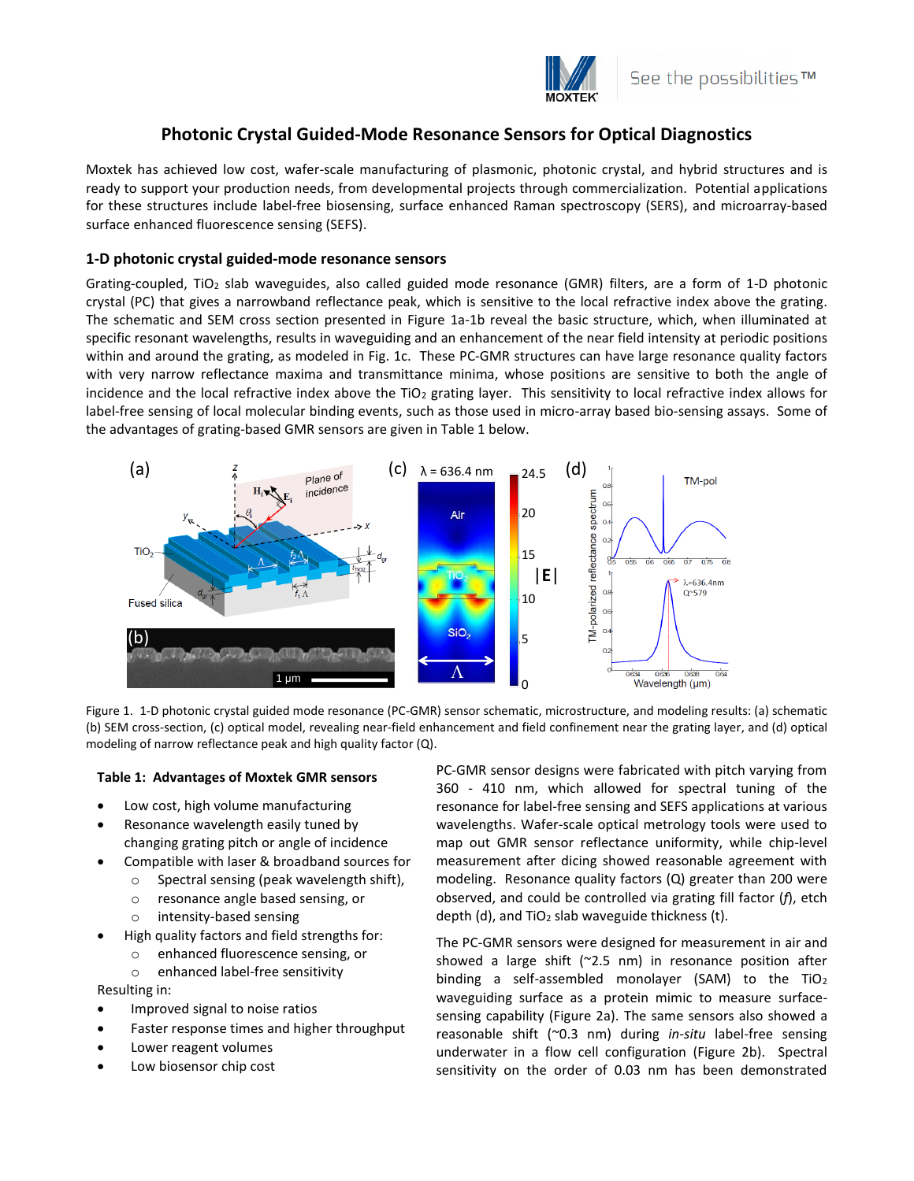

# **Photonic Crystal Guided-Mode Resonance Sensors for Optical Diagnostics**

Moxtek has achieved low cost, wafer-scale manufacturing of plasmonic, photonic crystal, and hybrid structures and is ready to support your production needs, from developmental projects through commercialization. Potential applications for these structures include label-free biosensing, surface enhanced Raman spectroscopy (SERS), and microarray-based surface enhanced fluorescence sensing (SEFS).

## **1-D photonic crystal guided-mode resonance sensors**

Grating-coupled, TiO<sub>2</sub> slab waveguides, also called guided mode resonance (GMR) filters, are a form of 1-D photonic crystal (PC) that gives a narrowband reflectance peak, which is sensitive to the local refractive index above the grating. The schematic and SEM cross section presented in Figure 1a-1b reveal the basic structure, which, when illuminated at specific resonant wavelengths, results in waveguiding and an enhancement of the near field intensity at periodic positions within and around the grating, as modeled in Fig. 1c. These PC-GMR structures can have large resonance quality factors with very narrow reflectance maxima and transmittance minima, whose positions are sensitive to both the angle of incidence and the local refractive index above the  $TiO<sub>2</sub>$  grating layer. This sensitivity to local refractive index allows for label-free sensing of local molecular binding events, such as those used in micro-array based bio-sensing assays. Some of the advantages of grating-based GMR sensors are given in Table 1 below.





#### **Table 1: Advantages of Moxtek GMR sensors**

- Low cost, high volume manufacturing
- Resonance wavelength easily tuned by changing grating pitch or angle of incidence
- Compatible with laser & broadband sources for
	- o Spectral sensing (peak wavelength shift),
	- o resonance angle based sensing, or
	- o intensity-based sensing
- High quality factors and field strengths for:
	- o enhanced fluorescence sensing, or
	- o enhanced label-free sensitivity

Resulting in:

- Improved signal to noise ratios
- Faster response times and higher throughput
- Lower reagent volumes
- Low biosensor chip cost

PC-GMR sensor designs were fabricated with pitch varying from 360 - 410 nm, which allowed for spectral tuning of the resonance for label-free sensing and SEFS applications at various wavelengths. Wafer-scale optical metrology tools were used to map out GMR sensor reflectance uniformity, while chip-level measurement after dicing showed reasonable agreement with modeling. Resonance quality factors (Q) greater than 200 were observed, and could be controlled via grating fill factor (*f*), etch depth (d), and  $TiO<sub>2</sub>$  slab waveguide thickness (t).

The PC-GMR sensors were designed for measurement in air and showed a large shift (~2.5 nm) in resonance position after binding a self-assembled monolayer (SAM) to the TiO<sub>2</sub> waveguiding surface as a protein mimic to measure surfacesensing capability (Figure 2a). The same sensors also showed a reasonable shift (~0.3 nm) during *in-situ* label-free sensing underwater in a flow cell configuration (Figure 2b). Spectral sensitivity on the order of 0.03 nm has been demonstrated